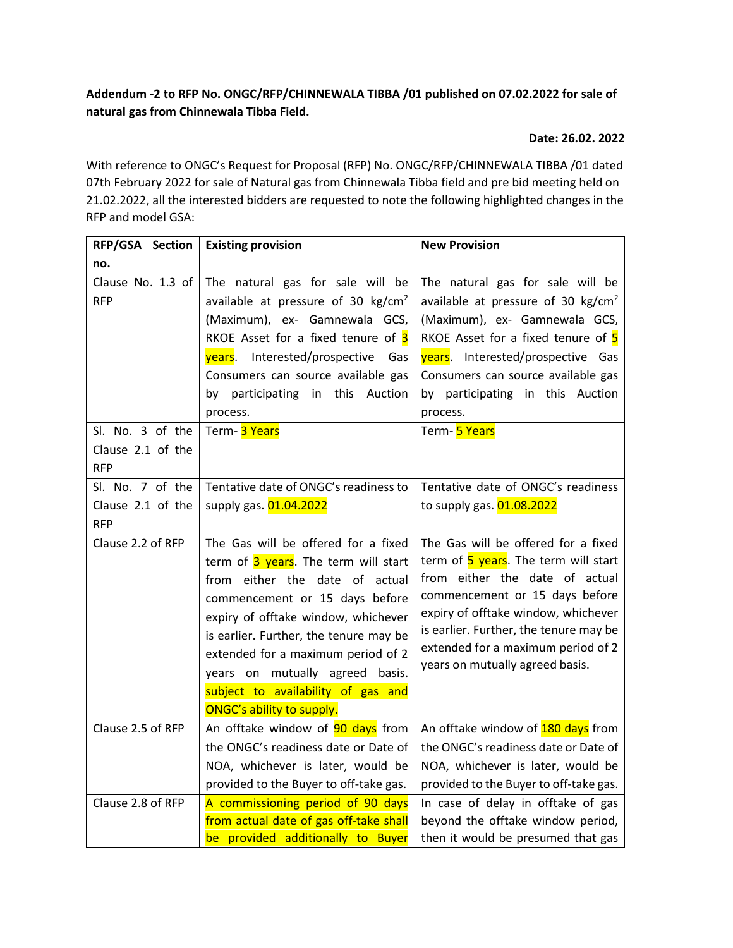## **Addendum -2 to RFP No. ONGC/RFP/CHINNEWALA TIBBA /01 published on 07.02.2022 for sale of natural gas from Chinnewala Tibba Field.**

## **Date: 26.02. 2022**

With reference to ONGC's Request for Proposal (RFP) No. ONGC/RFP/CHINNEWALA TIBBA /01 dated 07th February 2022 for sale of Natural gas from Chinnewala Tibba field and pre bid meeting held on 21.02.2022, all the interested bidders are requested to note the following highlighted changes in the RFP and model GSA:

| RFP/GSA Section   | <b>Existing provision</b>                    | <b>New Provision</b>                         |
|-------------------|----------------------------------------------|----------------------------------------------|
| no.               |                                              |                                              |
| Clause No. 1.3 of | The natural gas for sale will be             | The natural gas for sale will be             |
| <b>RFP</b>        | available at pressure of 30 $\text{kg/cm}^2$ | available at pressure of 30 $\text{kg/cm}^2$ |
|                   | (Maximum), ex- Gamnewala GCS,                | (Maximum), ex- Gamnewala GCS,                |
|                   | RKOE Asset for a fixed tenure of 3           | RKOE Asset for a fixed tenure of 5           |
|                   | years. Interested/prospective Gas            | years. Interested/prospective Gas            |
|                   | Consumers can source available gas           | Consumers can source available gas           |
|                   | by participating in this Auction             | by participating in this Auction             |
|                   | process.                                     | process.                                     |
| Sl. No. 3 of the  | Term- 3 Years                                | Term- 5 Years                                |
| Clause 2.1 of the |                                              |                                              |
| <b>RFP</b>        |                                              |                                              |
| Sl. No. 7 of the  | Tentative date of ONGC's readiness to        | Tentative date of ONGC's readiness           |
| Clause 2.1 of the | supply gas. 01.04.2022                       | to supply gas. 01.08.2022                    |
| <b>RFP</b>        |                                              |                                              |
| Clause 2.2 of RFP | The Gas will be offered for a fixed          | The Gas will be offered for a fixed          |
|                   | term of 3 years. The term will start         | term of 5 years. The term will start         |
|                   | from either the date of actual               | from either the date of actual               |
|                   | commencement or 15 days before               | commencement or 15 days before               |
|                   | expiry of offtake window, whichever          | expiry of offtake window, whichever          |
|                   | is earlier. Further, the tenure may be       | is earlier. Further, the tenure may be       |
|                   | extended for a maximum period of 2           | extended for a maximum period of 2           |
|                   | years on mutually agreed basis.              | years on mutually agreed basis.              |
|                   | subject to availability of gas and           |                                              |
|                   | ONGC's ability to supply.                    |                                              |
| Clause 2.5 of RFP | An offtake window of 90 days from            | An offtake window of <b>180 days</b> from    |
|                   | the ONGC's readiness date or Date of         | the ONGC's readiness date or Date of         |
|                   | NOA, whichever is later, would be            | NOA, whichever is later, would be            |
|                   | provided to the Buyer to off-take gas.       | provided to the Buyer to off-take gas.       |
| Clause 2.8 of RFP | A commissioning period of 90 days            | In case of delay in offtake of gas           |
|                   | from actual date of gas off-take shall       | beyond the offtake window period,            |
|                   | be provided additionally to Buyer            | then it would be presumed that gas           |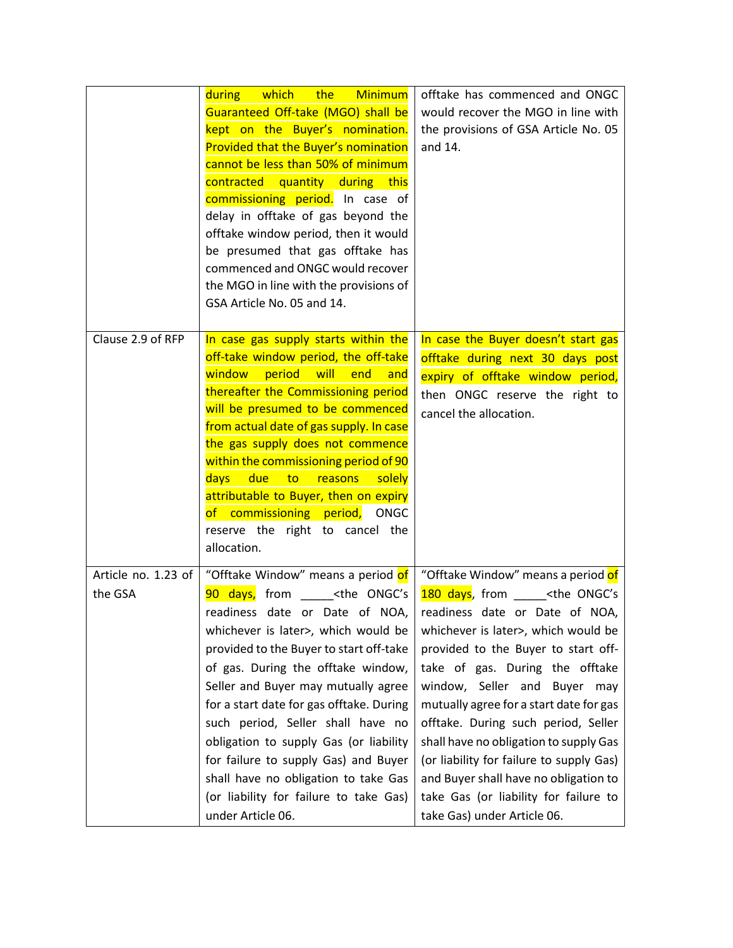|                                | <b>Minimum</b><br><b>b</b> which<br>the<br>during<br>Guaranteed Off-take (MGO) shall be<br>kept on the Buyer's nomination.<br>Provided that the Buyer's nomination<br>cannot be less than 50% of minimum<br>contracted<br>quantity during this<br>commissioning period. In case of<br>delay in offtake of gas beyond the<br>offtake window period, then it would<br>be presumed that gas offtake has<br>commenced and ONGC would recover<br>the MGO in line with the provisions of<br>GSA Article No. 05 and 14.                                                  | offtake has commenced and ONGC<br>would recover the MGO in line with<br>the provisions of GSA Article No. 05<br>and 14.                                                                                                                                                                                                                                                                                                                                                                                                                                                   |
|--------------------------------|-------------------------------------------------------------------------------------------------------------------------------------------------------------------------------------------------------------------------------------------------------------------------------------------------------------------------------------------------------------------------------------------------------------------------------------------------------------------------------------------------------------------------------------------------------------------|---------------------------------------------------------------------------------------------------------------------------------------------------------------------------------------------------------------------------------------------------------------------------------------------------------------------------------------------------------------------------------------------------------------------------------------------------------------------------------------------------------------------------------------------------------------------------|
| Clause 2.9 of RFP              | In case gas supply starts within the<br>off-take window period, the off-take<br>window<br>period<br>will<br>end<br>and<br>thereafter the Commissioning period<br>will be presumed to be commenced<br>from actual date of gas supply. In case<br>the gas supply does not commence<br>within the commissioning period of 90<br>days l<br>due<br>solely<br><u>to</u><br>reasons<br>attributable to Buyer, then on expiry<br>of commissioning period,<br><b>ONGC</b><br>reserve the right to cancel the<br>allocation.                                                | In case the Buyer doesn't start gas<br>offtake during next 30 days post<br>expiry of offtake window period,<br>then ONGC reserve the right to<br>cancel the allocation.                                                                                                                                                                                                                                                                                                                                                                                                   |
| Article no. 1.23 of<br>the GSA | "Offtake Window" means a period of<br>90 days, from <the ongc's<br="">readiness date or Date of NOA,<br/>whichever is later&gt;, which would be<br/>provided to the Buyer to start off-take<br/>of gas. During the offtake window,<br/>Seller and Buyer may mutually agree<br/>for a start date for gas offtake. During<br/>such period, Seller shall have no<br/>obligation to supply Gas (or liability<br/>for failure to supply Gas) and Buyer<br/>shall have no obligation to take Gas<br/>(or liability for failure to take Gas)<br/>under Article 06.</the> | "Offtake Window" means a period of<br>180 days, from _____ <the ongc's<br="">readiness date or Date of NOA,<br/>whichever is later&gt;, which would be<br/>provided to the Buyer to start off-<br/>take of gas. During the offtake<br/>window, Seller and Buyer may<br/>mutually agree for a start date for gas<br/>offtake. During such period, Seller<br/>shall have no obligation to supply Gas<br/>(or liability for failure to supply Gas)<br/>and Buyer shall have no obligation to<br/>take Gas (or liability for failure to<br/>take Gas) under Article 06.</the> |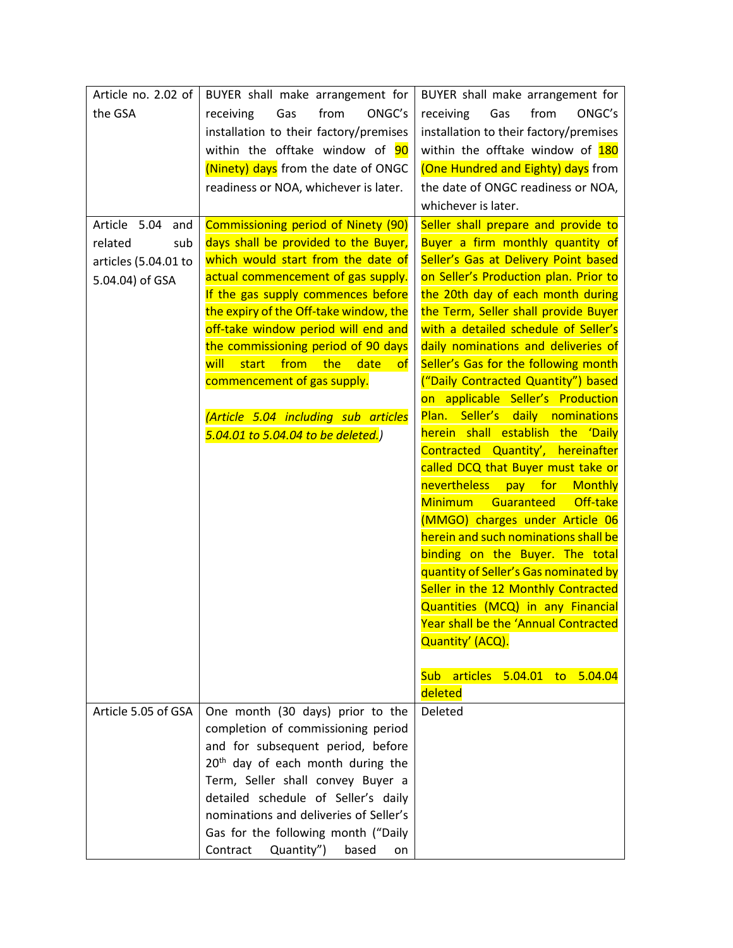| Article no. 2.02 of  | BUYER shall make arrangement for                  | BUYER shall make arrangement for                                      |
|----------------------|---------------------------------------------------|-----------------------------------------------------------------------|
| the GSA              | from<br>ONGC's<br>receiving<br>Gas                | receiving<br>from<br>ONGC's<br>Gas                                    |
|                      | installation to their factory/premises            | installation to their factory/premises                                |
|                      | within the offtake window of 90                   | within the offtake window of 180                                      |
|                      | (Ninety) days from the date of ONGC               | (One Hundred and Eighty) days from                                    |
|                      | readiness or NOA, whichever is later.             | the date of ONGC readiness or NOA,                                    |
|                      |                                                   | whichever is later.                                                   |
| Article 5.04<br>and  | Commissioning period of Ninety (90)               | Seller shall prepare and provide to                                   |
| related<br>sub       | days shall be provided to the Buyer,              | Buyer a firm monthly quantity of                                      |
| articles (5.04.01 to | which would start from the date of                | Seller's Gas at Delivery Point based                                  |
| 5.04.04) of GSA      | actual commencement of gas supply.                | on Seller's Production plan. Prior to                                 |
|                      | If the gas supply commences before                | the 20th day of each month during                                     |
|                      | the expiry of the Off-take window, the            | the Term, Seller shall provide Buyer                                  |
|                      | off-take window period will end and               | with a detailed schedule of Seller's                                  |
|                      | the commissioning period of 90 days               | daily nominations and deliveries of                                   |
|                      | from<br>will<br>start<br>the<br>date<br>$\circ$ f | Seller's Gas for the following month                                  |
|                      | commencement of gas supply.                       | ("Daily Contracted Quantity") based                                   |
|                      |                                                   | on applicable Seller's Production                                     |
|                      | (Article 5.04 including sub articles              | Plan. Seller's daily nominations<br>herein shall establish the 'Daily |
|                      | 5.04.01 to 5.04.04 to be deleted.)                | Contracted Quantity', hereinafter                                     |
|                      |                                                   | called DCQ that Buyer must take or                                    |
|                      |                                                   | nevertheless<br>pay for Monthly                                       |
|                      |                                                   | Off-take<br><b>Minimum</b><br>Guaranteed                              |
|                      |                                                   | (MMGO) charges under Article 06                                       |
|                      |                                                   | herein and such nominations shall be                                  |
|                      |                                                   | binding on the Buyer. The total                                       |
|                      |                                                   | quantity of Seller's Gas nominated by                                 |
|                      |                                                   | Seller in the 12 Monthly Contracted                                   |
|                      |                                                   | Quantities (MCQ) in any Financial                                     |
|                      |                                                   | Year shall be the 'Annual Contracted                                  |
|                      |                                                   | Quantity' (ACQ).                                                      |
|                      |                                                   |                                                                       |
|                      |                                                   | articles 5.04.01 to 5.04.04<br>Sub l                                  |
|                      |                                                   | deleted                                                               |
| Article 5.05 of GSA  | One month (30 days) prior to the                  | Deleted                                                               |
|                      | completion of commissioning period                |                                                                       |
|                      | and for subsequent period, before                 |                                                                       |
|                      | 20 <sup>th</sup> day of each month during the     |                                                                       |
|                      | Term, Seller shall convey Buyer a                 |                                                                       |
|                      | detailed schedule of Seller's daily               |                                                                       |
|                      | nominations and deliveries of Seller's            |                                                                       |
|                      | Gas for the following month ("Daily               |                                                                       |
|                      | Contract<br>Quantity")<br>based<br>on             |                                                                       |